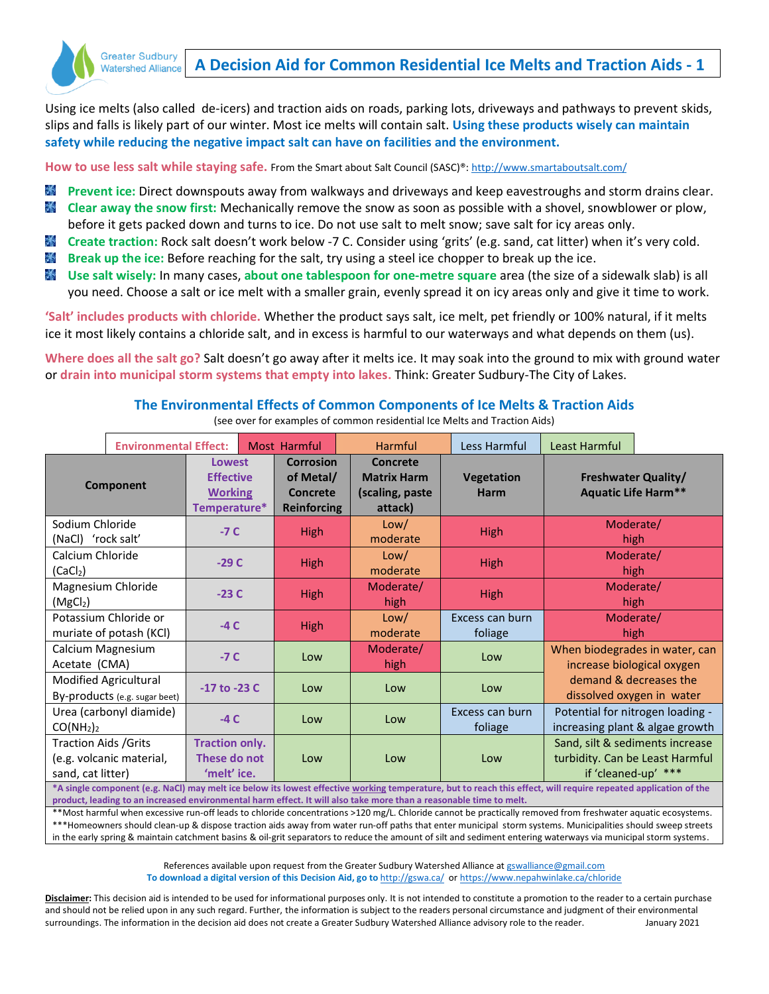

## **A Decision Aid for Common Residential Ice Melts and Traction Aids - 1**

Using ice melts (also called de-icers) and traction aids on roads, parking lots, driveways and pathways to prevent skids, slips and falls is likely part of our winter. Most ice melts will contain salt. **Using these products wisely can maintain safety while reducing the negative impact salt can have on facilities and the environment.** 

How to use less salt while staying safe. From the Smart about Salt Council (SASC)®: <http://www.smartaboutsalt.com/>

- 米 **Prevent ice:** Direct downspouts away from walkways and driveways and keep eavestroughs and storm drains clear.  $\mathcal{N}$ **Clear away the snow first:** Mechanically remove the snow as soon as possible with a shovel, snowblower or plow, before it gets packed down and turns to ice. Do not use salt to melt snow; save salt for icy areas only.
- $\mathcal{L}_{\mathcal{A}}$ **Create traction:** Rock salt doesn't work below -7 C. Consider using 'grits' (e.g. sand, cat litter) when it's very cold.
- $\mathcal{X}$ **Break up the ice:** Before reaching for the salt, try using a steel ice chopper to break up the ice.
- **Use salt wisely:** In many cases, **about one tablespoon for one-metre square** area (the size of a sidewalk slab) is all you need. Choose a salt or ice melt with a smaller grain, evenly spread it on icy areas only and give it time to work.

**'Salt' includes products with chloride.** Whether the product says salt, ice melt, pet friendly or 100% natural, if it melts ice it most likely contains a chloride salt, and in excess is harmful to our waterways and what depends on them (us).

**Where does all the salt go?** Salt doesn't go away after it melts ice. It may soak into the ground to mix with ground water or **drain into municipal storm systems that empty into lakes.** Think: Greater Sudbury-The City of Lakes.

## **The Environmental Effects of Common Components of Ice Melts & Traction Aids**

(see over for examples of common residential Ice Melts and Traction Aids)

|                                                                                                                                                                 | <b>Environmental Effect:</b>     |                                                              |     | <b>Most Harmful</b>                                             |                   | Harmful                                                      |     | Less Harmful                                                        | Least Harmful                                                                             |  |  |
|-----------------------------------------------------------------------------------------------------------------------------------------------------------------|----------------------------------|--------------------------------------------------------------|-----|-----------------------------------------------------------------|-------------------|--------------------------------------------------------------|-----|---------------------------------------------------------------------|-------------------------------------------------------------------------------------------|--|--|
| Component                                                                                                                                                       |                                  | Lowest<br><b>Effective</b><br><b>Working</b><br>Temperature* |     | <b>Corrosion</b><br>of Metal/<br>Concrete<br><b>Reinforcing</b> |                   | Concrete<br><b>Matrix Harm</b><br>(scaling, paste<br>attack) |     | Vegetation<br>Harm                                                  | <b>Freshwater Quality/</b><br><b>Aquatic Life Harm**</b>                                  |  |  |
| Sodium Chloride<br>(NaCl) 'rock salt'                                                                                                                           |                                  | $-7C$                                                        |     | <b>High</b>                                                     |                   | Low/<br>moderate                                             |     | <b>High</b>                                                         | Moderate/<br>high                                                                         |  |  |
| Calcium Chloride<br>(CaCl <sub>2</sub> )                                                                                                                        |                                  | $-29C$                                                       |     | <b>High</b>                                                     |                   | Low/<br>moderate                                             |     | <b>High</b>                                                         | Moderate/<br>high                                                                         |  |  |
| Magnesium Chloride<br>(MgCl <sub>2</sub> )                                                                                                                      |                                  | $-23C$                                                       |     | <b>High</b>                                                     |                   | Moderate/<br>high                                            |     | <b>High</b>                                                         | Moderate/<br>high                                                                         |  |  |
| Potassium Chloride or<br>muriate of potash (KCI)                                                                                                                |                                  | $-4C$                                                        |     | <b>High</b>                                                     |                   | Low/<br>moderate                                             |     | Excess can burn<br>foliage                                          | Moderate/<br>high                                                                         |  |  |
| Calcium Magnesium<br>$-7C$<br>Acetate (CMA)                                                                                                                     |                                  |                                                              | Low |                                                                 | Moderate/<br>high |                                                              | Low | When biodegrades in water, can<br>increase biological oxygen        |                                                                                           |  |  |
| Modified Agricultural<br>By-products (e.g. sugar beet)                                                                                                          |                                  | -17 to -23 C                                                 |     | Low                                                             |                   | Low                                                          |     | Low                                                                 | demand & decreases the<br>dissolved oxygen in water                                       |  |  |
| CO(NH <sub>2</sub> ) <sub>2</sub>                                                                                                                               | Urea (carbonyl diamide)<br>$-4C$ |                                                              |     | Low                                                             |                   | Excess can burn<br>Low<br>foliage                            |     | Potential for nitrogen loading -<br>increasing plant & algae growth |                                                                                           |  |  |
| Traction Aids /Grits<br>(e.g. volcanic material,<br>sand, cat litter)                                                                                           |                                  | <b>Traction only.</b><br>These do not<br>'melt' ice.         | Low |                                                                 |                   | Low                                                          |     | Low                                                                 | Sand, silt & sediments increase<br>turbidity. Can be Least Harmful<br>if 'cleaned-up' *** |  |  |
| *A single component (e.g. NaCl) may melt ice below its lowest effective working temperature, but to reach this effect, will require repeated application of the |                                  |                                                              |     |                                                                 |                   |                                                              |     |                                                                     |                                                                                           |  |  |

**product, leading to an increased environmental harm effect. It will also take more than a reasonable time to melt.**

\*\*Most harmful when excessive run-off leads to chloride concentrations >120 mg/L. Chloride cannot be practically removed from freshwater aquatic ecosystems. \*\*\*Homeowners should clean-up & dispose traction aids away from water run-off paths that enter municipal storm systems. Municipalities should sweep streets in the early spring & maintain catchment basins & oil-grit separators to reduce the amount of silt and sediment entering waterways via municipal storm systems.

> References available upon request from the Greater Sudbury Watershed Alliance at [gswalliance@gmail.com](mailto:gswalliance@gmail.com) **To download a digital version of this Decision Aid, go to** <http://gswa.ca/>o[r https://www.nepahwinlake.ca/chloride](https://www.nepahwinlake.ca/chloride)

**Disclaimer:** This decision aid is intended to be used for informational purposes only. It is not intended to constitute a promotion to the reader to a certain purchase and should not be relied upon in any such regard. Further, the information is subject to the readers personal circumstance and judgment of their environmental surroundings. The information in the decision aid does not create a Greater Sudbury Watershed Alliance advisory role to the reader. January 2021